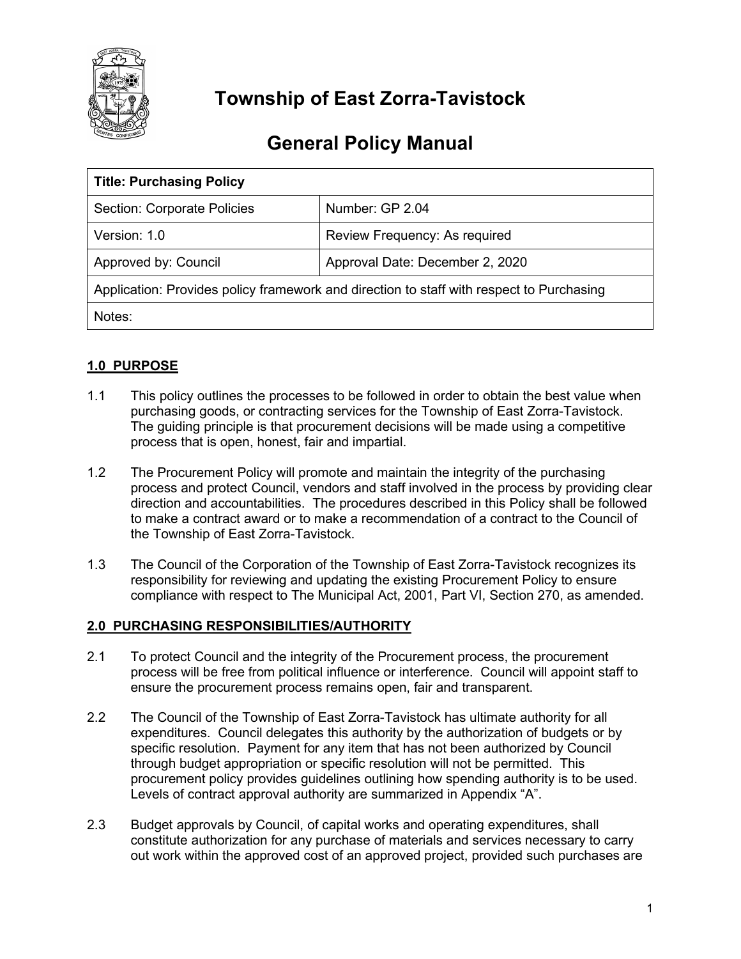

# **Township of East Zorra-Tavistock**

# **General Policy Manual**

| <b>Title: Purchasing Policy</b>                                                          |                                 |  |  |  |
|------------------------------------------------------------------------------------------|---------------------------------|--|--|--|
| <b>Section: Corporate Policies</b>                                                       | Number: GP 2.04                 |  |  |  |
| Version: 1.0                                                                             | Review Frequency: As required   |  |  |  |
| Approved by: Council                                                                     | Approval Date: December 2, 2020 |  |  |  |
| Application: Provides policy framework and direction to staff with respect to Purchasing |                                 |  |  |  |
| Notes:                                                                                   |                                 |  |  |  |

# **1.0 PURPOSE**

- 1.1 This policy outlines the processes to be followed in order to obtain the best value when purchasing goods, or contracting services for the Township of East Zorra-Tavistock. The guiding principle is that procurement decisions will be made using a competitive process that is open, honest, fair and impartial.
- 1.2 The Procurement Policy will promote and maintain the integrity of the purchasing process and protect Council, vendors and staff involved in the process by providing clear direction and accountabilities. The procedures described in this Policy shall be followed to make a contract award or to make a recommendation of a contract to the Council of the Township of East Zorra-Tavistock.
- 1.3 The Council of the Corporation of the Township of East Zorra-Tavistock recognizes its responsibility for reviewing and updating the existing Procurement Policy to ensure compliance with respect to The Municipal Act, 2001, Part VI, Section 270, as amended.

# **2.0 PURCHASING RESPONSIBILITIES/AUTHORITY**

- 2.1 To protect Council and the integrity of the Procurement process, the procurement process will be free from political influence or interference. Council will appoint staff to ensure the procurement process remains open, fair and transparent.
- 2.2 The Council of the Township of East Zorra-Tavistock has ultimate authority for all expenditures. Council delegates this authority by the authorization of budgets or by specific resolution. Payment for any item that has not been authorized by Council through budget appropriation or specific resolution will not be permitted. This procurement policy provides guidelines outlining how spending authority is to be used. Levels of contract approval authority are summarized in Appendix "A".
- 2.3 Budget approvals by Council, of capital works and operating expenditures, shall constitute authorization for any purchase of materials and services necessary to carry out work within the approved cost of an approved project, provided such purchases are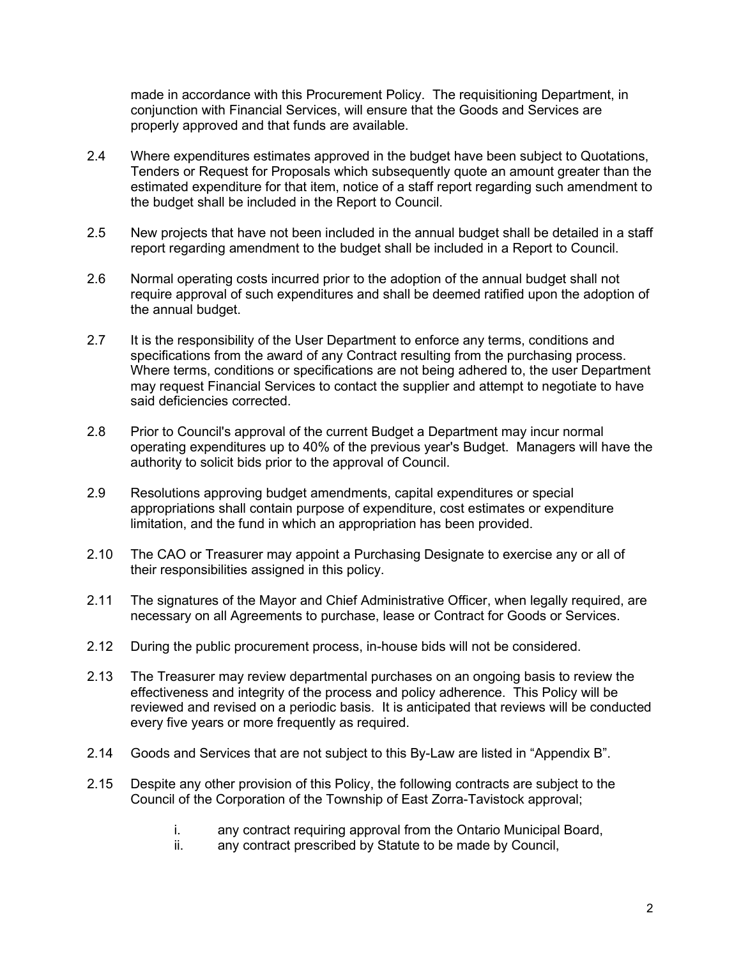made in accordance with this Procurement Policy. The requisitioning Department, in conjunction with Financial Services, will ensure that the Goods and Services are properly approved and that funds are available.

- 2.4 Where expenditures estimates approved in the budget have been subject to Quotations, Tenders or Request for Proposals which subsequently quote an amount greater than the estimated expenditure for that item, notice of a staff report regarding such amendment to the budget shall be included in the Report to Council.
- 2.5 New projects that have not been included in the annual budget shall be detailed in a staff report regarding amendment to the budget shall be included in a Report to Council.
- 2.6 Normal operating costs incurred prior to the adoption of the annual budget shall not require approval of such expenditures and shall be deemed ratified upon the adoption of the annual budget.
- 2.7 It is the responsibility of the User Department to enforce any terms, conditions and specifications from the award of any Contract resulting from the purchasing process. Where terms, conditions or specifications are not being adhered to, the user Department may request Financial Services to contact the supplier and attempt to negotiate to have said deficiencies corrected.
- 2.8 Prior to Council's approval of the current Budget a Department may incur normal operating expenditures up to 40% of the previous year's Budget. Managers will have the authority to solicit bids prior to the approval of Council.
- 2.9 Resolutions approving budget amendments, capital expenditures or special appropriations shall contain purpose of expenditure, cost estimates or expenditure limitation, and the fund in which an appropriation has been provided.
- 2.10 The CAO or Treasurer may appoint a Purchasing Designate to exercise any or all of their responsibilities assigned in this policy.
- 2.11 The signatures of the Mayor and Chief Administrative Officer, when legally required, are necessary on all Agreements to purchase, lease or Contract for Goods or Services.
- 2.12 During the public procurement process, in-house bids will not be considered.
- 2.13 The Treasurer may review departmental purchases on an ongoing basis to review the effectiveness and integrity of the process and policy adherence. This Policy will be reviewed and revised on a periodic basis. It is anticipated that reviews will be conducted every five years or more frequently as required.
- 2.14 Goods and Services that are not subject to this By-Law are listed in "Appendix B".
- 2.15 Despite any other provision of this Policy, the following contracts are subject to the Council of the Corporation of the Township of East Zorra-Tavistock approval;
	- i. any contract requiring approval from the Ontario Municipal Board,
	- ii. any contract prescribed by Statute to be made by Council,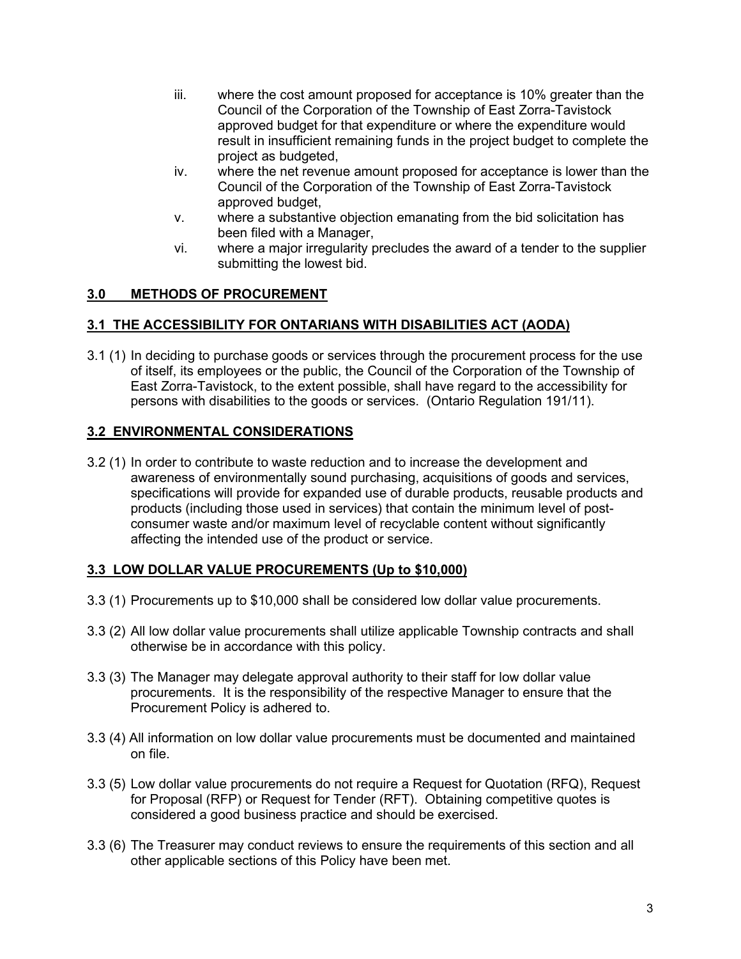- iii. where the cost amount proposed for acceptance is 10% greater than the Council of the Corporation of the Township of East Zorra-Tavistock approved budget for that expenditure or where the expenditure would result in insufficient remaining funds in the project budget to complete the project as budgeted,
- iv. where the net revenue amount proposed for acceptance is lower than the Council of the Corporation of the Township of East Zorra-Tavistock approved budget,
- v. where a substantive objection emanating from the bid solicitation has been filed with a Manager,
- vi. where a major irregularity precludes the award of a tender to the supplier submitting the lowest bid.

# **3.0 METHODS OF PROCUREMENT**

# **3.1 THE ACCESSIBILITY FOR ONTARIANS WITH DISABILITIES ACT (AODA)**

3.1 (1) In deciding to purchase goods or services through the procurement process for the use of itself, its employees or the public, the Council of the Corporation of the Township of East Zorra-Tavistock, to the extent possible, shall have regard to the accessibility for persons with disabilities to the goods or services. (Ontario Regulation 191/11).

# **3.2 ENVIRONMENTAL CONSIDERATIONS**

3.2 (1) In order to contribute to waste reduction and to increase the development and awareness of environmentally sound purchasing, acquisitions of goods and services, specifications will provide for expanded use of durable products, reusable products and products (including those used in services) that contain the minimum level of postconsumer waste and/or maximum level of recyclable content without significantly affecting the intended use of the product or service.

#### **3.3 LOW DOLLAR VALUE PROCUREMENTS (Up to \$10,000)**

- 3.3 (1) Procurements up to \$10,000 shall be considered low dollar value procurements.
- 3.3 (2) All low dollar value procurements shall utilize applicable Township contracts and shall otherwise be in accordance with this policy.
- 3.3 (3) The Manager may delegate approval authority to their staff for low dollar value procurements. It is the responsibility of the respective Manager to ensure that the Procurement Policy is adhered to.
- 3.3 (4) All information on low dollar value procurements must be documented and maintained on file.
- 3.3 (5) Low dollar value procurements do not require a Request for Quotation (RFQ), Request for Proposal (RFP) or Request for Tender (RFT). Obtaining competitive quotes is considered a good business practice and should be exercised.
- 3.3 (6) The Treasurer may conduct reviews to ensure the requirements of this section and all other applicable sections of this Policy have been met.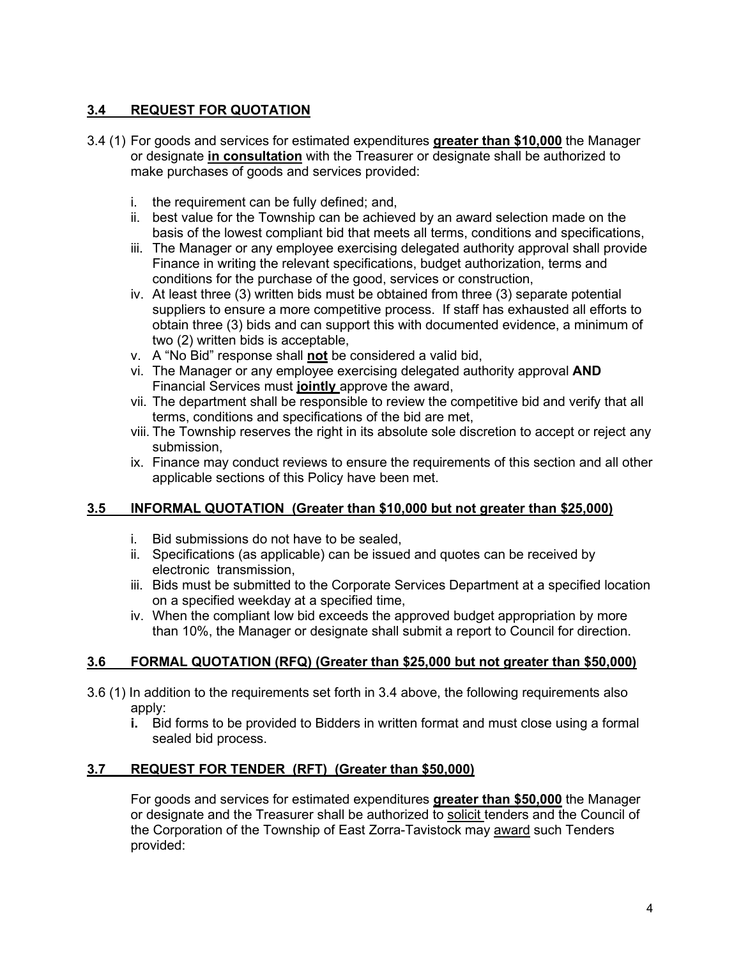# **3.4 REQUEST FOR QUOTATION**

- 3.4 (1) For goods and services for estimated expenditures **greater than \$10,000** the Manager or designate **in consultation** with the Treasurer or designate shall be authorized to make purchases of goods and services provided:
	- i. the requirement can be fully defined; and,
	- ii. best value for the Township can be achieved by an award selection made on the basis of the lowest compliant bid that meets all terms, conditions and specifications,
	- iii. The Manager or any employee exercising delegated authority approval shall provide Finance in writing the relevant specifications, budget authorization, terms and conditions for the purchase of the good, services or construction,
	- iv. At least three (3) written bids must be obtained from three (3) separate potential suppliers to ensure a more competitive process. If staff has exhausted all efforts to obtain three (3) bids and can support this with documented evidence, a minimum of two (2) written bids is acceptable,
	- v. A "No Bid" response shall **not** be considered a valid bid,
	- vi. The Manager or any employee exercising delegated authority approval **AND** Financial Services must **jointly** approve the award,
	- vii. The department shall be responsible to review the competitive bid and verify that all terms, conditions and specifications of the bid are met,
	- viii. The Township reserves the right in its absolute sole discretion to accept or reject any submission,
	- ix. Finance may conduct reviews to ensure the requirements of this section and all other applicable sections of this Policy have been met.

# **3.5 INFORMAL QUOTATION (Greater than \$10,000 but not greater than \$25,000)**

- i. Bid submissions do not have to be sealed,
- ii. Specifications (as applicable) can be issued and quotes can be received by electronic transmission,
- iii. Bids must be submitted to the Corporate Services Department at a specified location on a specified weekday at a specified time,
- iv. When the compliant low bid exceeds the approved budget appropriation by more than 10%, the Manager or designate shall submit a report to Council for direction.

#### **3.6 FORMAL QUOTATION (RFQ) (Greater than \$25,000 but not greater than \$50,000)**

- 3.6 (1) In addition to the requirements set forth in 3.4 above, the following requirements also apply:
	- **i.** Bid forms to be provided to Bidders in written format and must close using a formal sealed bid process.

#### **3.7 REQUEST FOR TENDER (RFT) (Greater than \$50,000)**

For goods and services for estimated expenditures **greater than \$50,000** the Manager or designate and the Treasurer shall be authorized to solicit tenders and the Council of the Corporation of the Township of East Zorra-Tavistock may award such Tenders provided: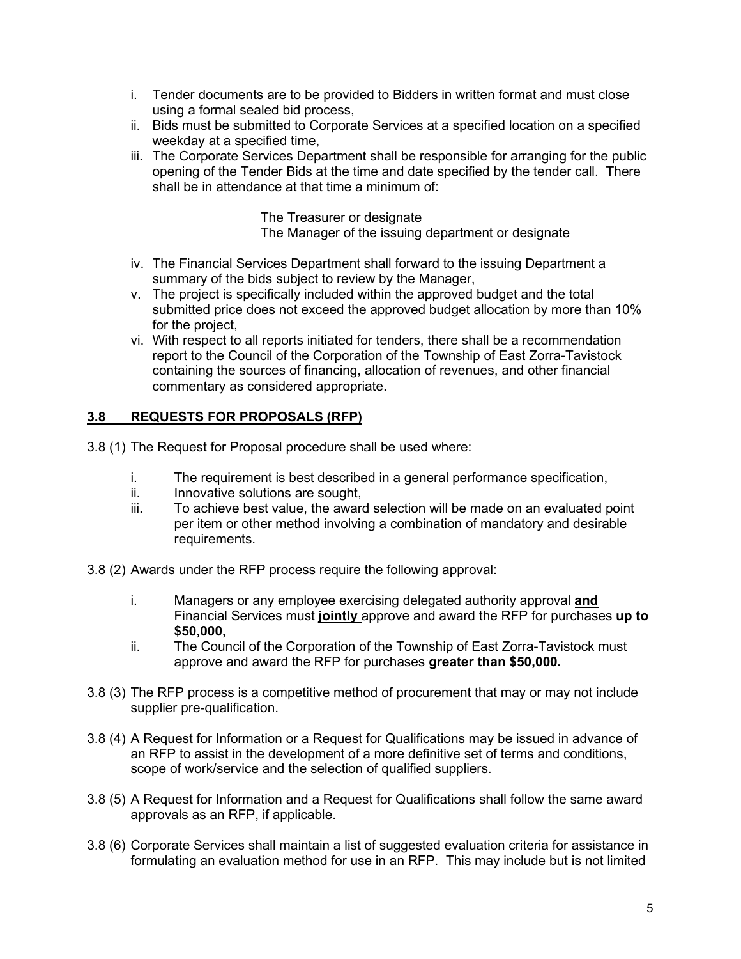- i. Tender documents are to be provided to Bidders in written format and must close using a formal sealed bid process,
- ii. Bids must be submitted to Corporate Services at a specified location on a specified weekday at a specified time,
- iii. The Corporate Services Department shall be responsible for arranging for the public opening of the Tender Bids at the time and date specified by the tender call. There shall be in attendance at that time a minimum of:

The Treasurer or designate

The Manager of the issuing department or designate

- iv. The Financial Services Department shall forward to the issuing Department a summary of the bids subject to review by the Manager,
- v. The project is specifically included within the approved budget and the total submitted price does not exceed the approved budget allocation by more than 10% for the project,
- vi. With respect to all reports initiated for tenders, there shall be a recommendation report to the Council of the Corporation of the Township of East Zorra-Tavistock containing the sources of financing, allocation of revenues, and other financial commentary as considered appropriate.

# **3.8 REQUESTS FOR PROPOSALS (RFP)**

- 3.8 (1) The Request for Proposal procedure shall be used where:
	- i. The requirement is best described in a general performance specification,<br>ii betaling the solutions are sought
	- Innovative solutions are sought,
	- iii. To achieve best value, the award selection will be made on an evaluated point per item or other method involving a combination of mandatory and desirable requirements.
- 3.8 (2) Awards under the RFP process require the following approval:
	- i. Managers or any employee exercising delegated authority approval **and** Financial Services must **jointly** approve and award the RFP for purchases **up to \$50,000,**
	- ii. The Council of the Corporation of the Township of East Zorra-Tavistock must approve and award the RFP for purchases **greater than \$50,000.**
- 3.8 (3) The RFP process is a competitive method of procurement that may or may not include supplier pre-qualification.
- 3.8 (4) A Request for Information or a Request for Qualifications may be issued in advance of an RFP to assist in the development of a more definitive set of terms and conditions, scope of work/service and the selection of qualified suppliers.
- 3.8 (5) A Request for Information and a Request for Qualifications shall follow the same award approvals as an RFP, if applicable.
- 3.8 (6) Corporate Services shall maintain a list of suggested evaluation criteria for assistance in formulating an evaluation method for use in an RFP. This may include but is not limited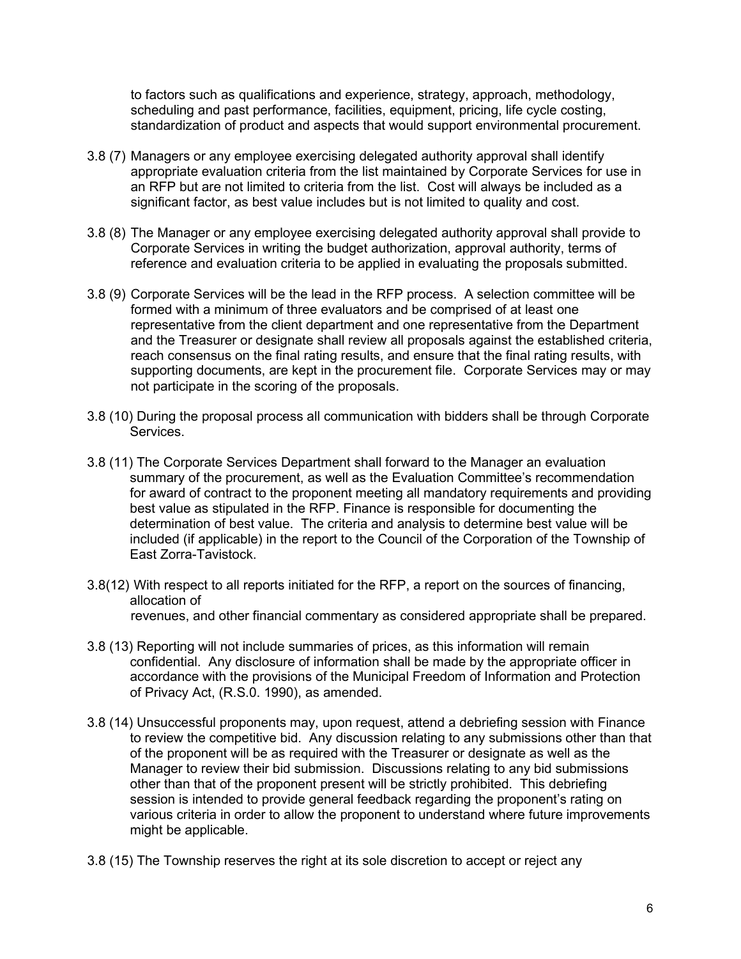to factors such as qualifications and experience, strategy, approach, methodology, scheduling and past performance, facilities, equipment, pricing, life cycle costing, standardization of product and aspects that would support environmental procurement.

- 3.8 (7) Managers or any employee exercising delegated authority approval shall identify appropriate evaluation criteria from the list maintained by Corporate Services for use in an RFP but are not limited to criteria from the list. Cost will always be included as a significant factor, as best value includes but is not limited to quality and cost.
- 3.8 (8) The Manager or any employee exercising delegated authority approval shall provide to Corporate Services in writing the budget authorization, approval authority, terms of reference and evaluation criteria to be applied in evaluating the proposals submitted.
- 3.8 (9) Corporate Services will be the lead in the RFP process. A selection committee will be formed with a minimum of three evaluators and be comprised of at least one representative from the client department and one representative from the Department and the Treasurer or designate shall review all proposals against the established criteria, reach consensus on the final rating results, and ensure that the final rating results, with supporting documents, are kept in the procurement file. Corporate Services may or may not participate in the scoring of the proposals.
- 3.8 (10) During the proposal process all communication with bidders shall be through Corporate Services.
- 3.8 (11) The Corporate Services Department shall forward to the Manager an evaluation summary of the procurement, as well as the Evaluation Committee's recommendation for award of contract to the proponent meeting all mandatory requirements and providing best value as stipulated in the RFP. Finance is responsible for documenting the determination of best value. The criteria and analysis to determine best value will be included (if applicable) in the report to the Council of the Corporation of the Township of East Zorra-Tavistock.
- 3.8(12) With respect to all reports initiated for the RFP, a report on the sources of financing, allocation of revenues, and other financial commentary as considered appropriate shall be prepared.
- 3.8 (13) Reporting will not include summaries of prices, as this information will remain confidential. Any disclosure of information shall be made by the appropriate officer in accordance with the provisions of the Municipal Freedom of Information and Protection of Privacy Act, (R.S.0. 1990), as amended.
- 3.8 (14) Unsuccessful proponents may, upon request, attend a debriefing session with Finance to review the competitive bid. Any discussion relating to any submissions other than that of the proponent will be as required with the Treasurer or designate as well as the Manager to review their bid submission. Discussions relating to any bid submissions other than that of the proponent present will be strictly prohibited. This debriefing session is intended to provide general feedback regarding the proponent's rating on various criteria in order to allow the proponent to understand where future improvements might be applicable.
- 3.8 (15) The Township reserves the right at its sole discretion to accept or reject any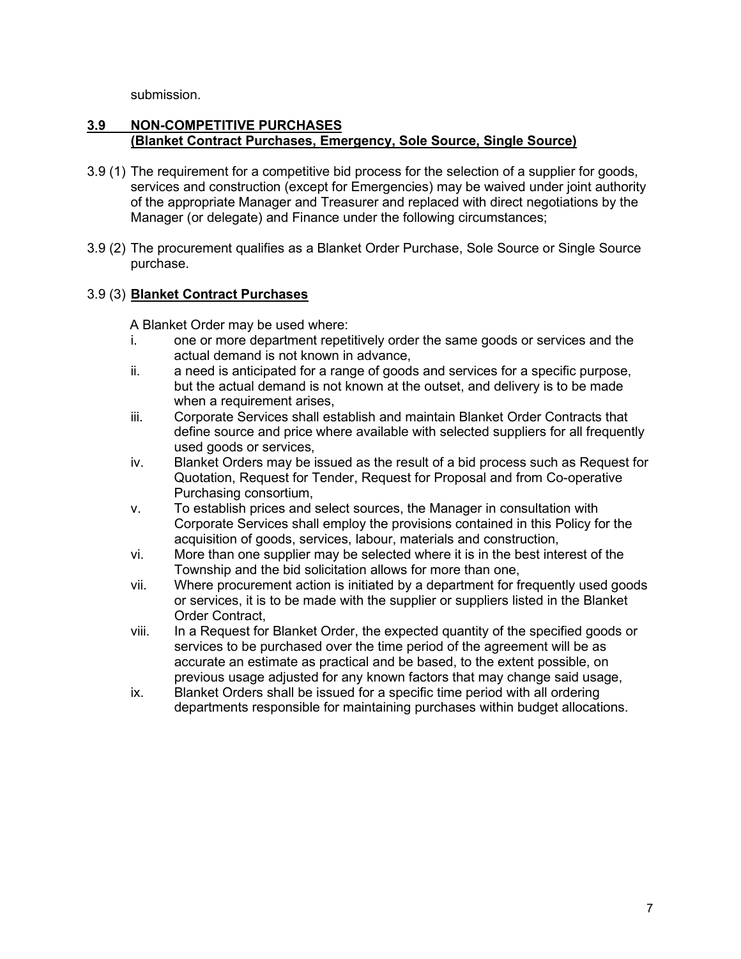submission.

#### **3.9 NON-COMPETITIVE PURCHASES (Blanket Contract Purchases, Emergency, Sole Source, Single Source)**

- 3.9 (1) The requirement for a competitive bid process for the selection of a supplier for goods, services and construction (except for Emergencies) may be waived under joint authority of the appropriate Manager and Treasurer and replaced with direct negotiations by the Manager (or delegate) and Finance under the following circumstances;
- 3.9 (2) The procurement qualifies as a Blanket Order Purchase, Sole Source or Single Source purchase.

#### 3.9 (3) **Blanket Contract Purchases**

A Blanket Order may be used where:

- i. one or more department repetitively order the same goods or services and the actual demand is not known in advance,
- ii. a need is anticipated for a range of goods and services for a specific purpose, but the actual demand is not known at the outset, and delivery is to be made when a requirement arises.
- iii. Corporate Services shall establish and maintain Blanket Order Contracts that define source and price where available with selected suppliers for all frequently used goods or services,
- iv. Blanket Orders may be issued as the result of a bid process such as Request for Quotation, Request for Tender, Request for Proposal and from Co-operative Purchasing consortium,
- v. To establish prices and select sources, the Manager in consultation with Corporate Services shall employ the provisions contained in this Policy for the acquisition of goods, services, labour, materials and construction,
- vi. More than one supplier may be selected where it is in the best interest of the Township and the bid solicitation allows for more than one,
- vii. Where procurement action is initiated by a department for frequently used goods or services, it is to be made with the supplier or suppliers listed in the Blanket Order Contract,
- viii. In a Request for Blanket Order, the expected quantity of the specified goods or services to be purchased over the time period of the agreement will be as accurate an estimate as practical and be based, to the extent possible, on previous usage adjusted for any known factors that may change said usage,
- ix. Blanket Orders shall be issued for a specific time period with all ordering departments responsible for maintaining purchases within budget allocations.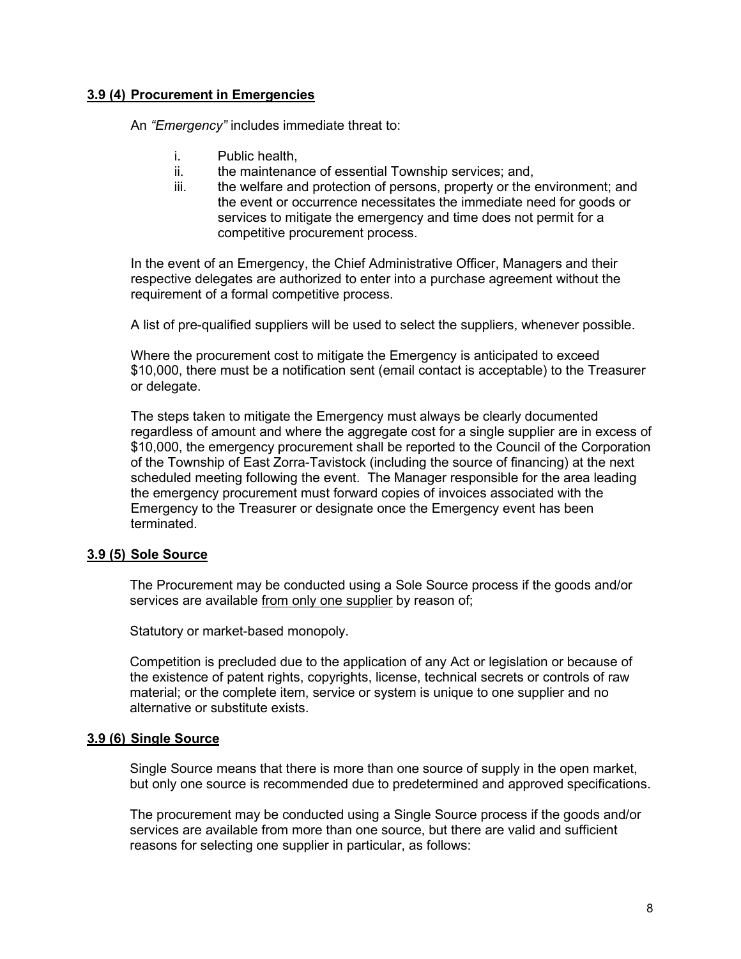#### **3.9 (4) Procurement in Emergencies**

An *"Emergency"* includes immediate threat to:

- i. Public health,
- ii. the maintenance of essential Township services; and,
- iii. the welfare and protection of persons, property or the environment; and the event or occurrence necessitates the immediate need for goods or services to mitigate the emergency and time does not permit for a competitive procurement process.

In the event of an Emergency, the Chief Administrative Officer, Managers and their respective delegates are authorized to enter into a purchase agreement without the requirement of a formal competitive process.

A list of pre-qualified suppliers will be used to select the suppliers, whenever possible.

Where the procurement cost to mitigate the Emergency is anticipated to exceed \$10,000, there must be a notification sent (email contact is acceptable) to the Treasurer or delegate.

The steps taken to mitigate the Emergency must always be clearly documented regardless of amount and where the aggregate cost for a single supplier are in excess of \$10,000, the emergency procurement shall be reported to the Council of the Corporation of the Township of East Zorra-Tavistock (including the source of financing) at the next scheduled meeting following the event. The Manager responsible for the area leading the emergency procurement must forward copies of invoices associated with the Emergency to the Treasurer or designate once the Emergency event has been terminated.

#### **3.9 (5) Sole Source**

The Procurement may be conducted using a Sole Source process if the goods and/or services are available from only one supplier by reason of;

Statutory or market-based monopoly.

Competition is precluded due to the application of any Act or legislation or because of the existence of patent rights, copyrights, license, technical secrets or controls of raw material; or the complete item, service or system is unique to one supplier and no alternative or substitute exists.

#### **3.9 (6) Single Source**

Single Source means that there is more than one source of supply in the open market, but only one source is recommended due to predetermined and approved specifications.

The procurement may be conducted using a Single Source process if the goods and/or services are available from more than one source, but there are valid and sufficient reasons for selecting one supplier in particular, as follows: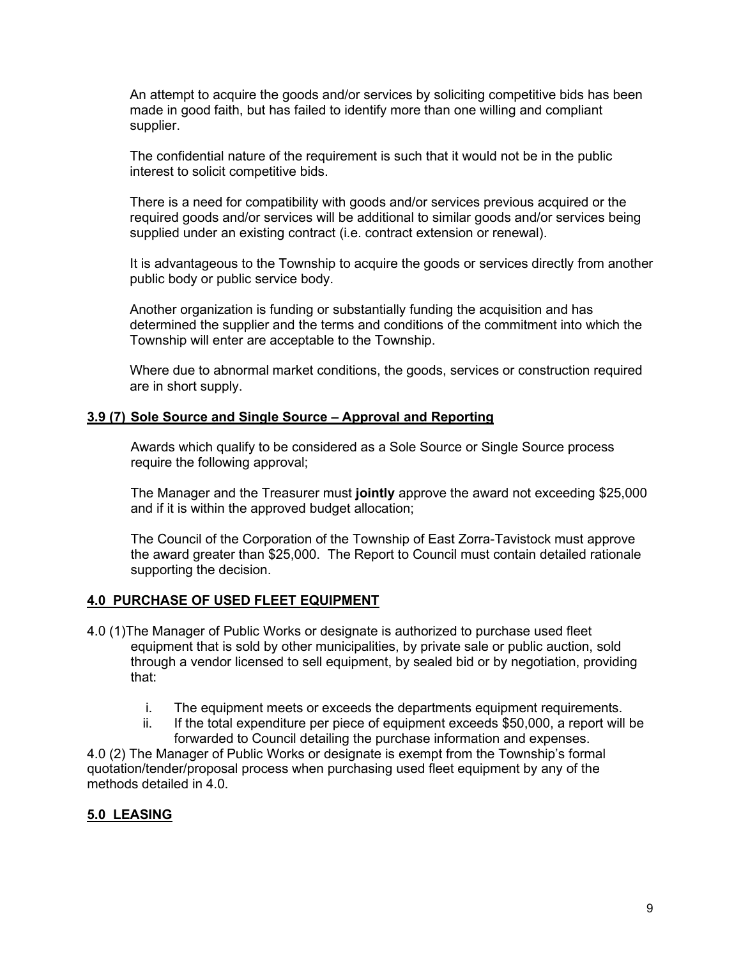An attempt to acquire the goods and/or services by soliciting competitive bids has been made in good faith, but has failed to identify more than one willing and compliant supplier.

The confidential nature of the requirement is such that it would not be in the public interest to solicit competitive bids.

There is a need for compatibility with goods and/or services previous acquired or the required goods and/or services will be additional to similar goods and/or services being supplied under an existing contract (i.e. contract extension or renewal).

It is advantageous to the Township to acquire the goods or services directly from another public body or public service body.

Another organization is funding or substantially funding the acquisition and has determined the supplier and the terms and conditions of the commitment into which the Township will enter are acceptable to the Township.

Where due to abnormal market conditions, the goods, services or construction required are in short supply.

#### **3.9 (7) Sole Source and Single Source – Approval and Reporting**

Awards which qualify to be considered as a Sole Source or Single Source process require the following approval;

The Manager and the Treasurer must **jointly** approve the award not exceeding \$25,000 and if it is within the approved budget allocation;

The Council of the Corporation of the Township of East Zorra-Tavistock must approve the award greater than \$25,000. The Report to Council must contain detailed rationale supporting the decision.

#### **4.0 PURCHASE OF USED FLEET EQUIPMENT**

- 4.0 (1)The Manager of Public Works or designate is authorized to purchase used fleet equipment that is sold by other municipalities, by private sale or public auction, sold through a vendor licensed to sell equipment, by sealed bid or by negotiation, providing that:
	- i. The equipment meets or exceeds the departments equipment requirements.
	- ii. If the total expenditure per piece of equipment exceeds \$50,000, a report will be forwarded to Council detailing the purchase information and expenses.

4.0 (2) The Manager of Public Works or designate is exempt from the Township's formal quotation/tender/proposal process when purchasing used fleet equipment by any of the methods detailed in 4.0.

#### **5.0 LEASING**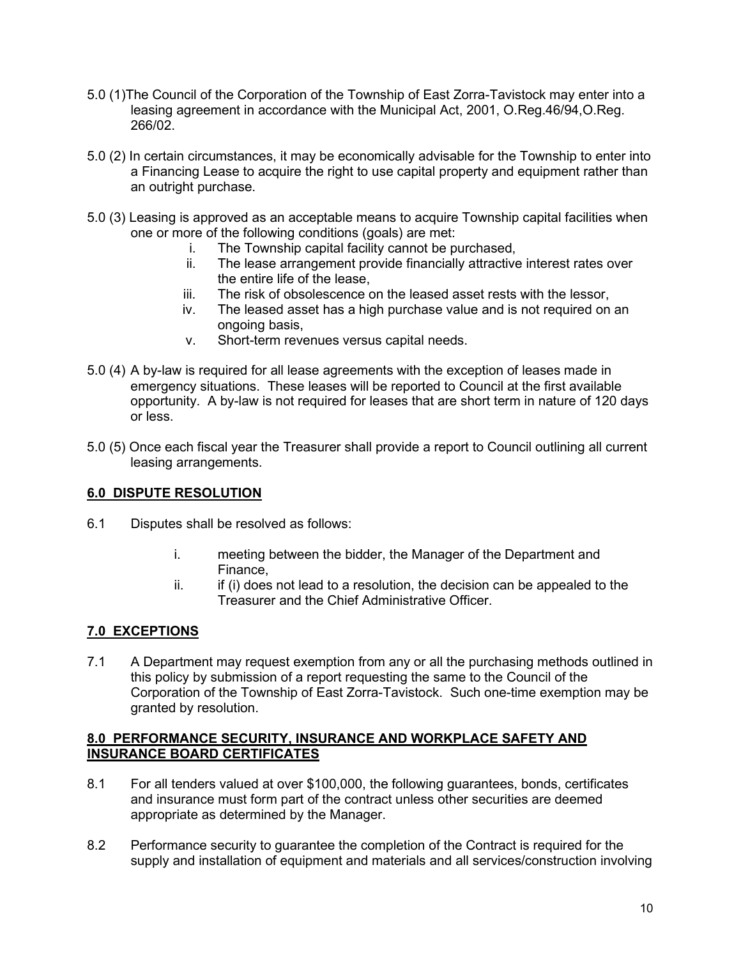- 5.0 (1)The Council of the Corporation of the Township of East Zorra-Tavistock may enter into a leasing agreement in accordance with the Municipal Act, 2001, O.Reg.46/94, O.Reg. 266/02.
- 5.0 (2) In certain circumstances, it may be economically advisable for the Township to enter into a Financing Lease to acquire the right to use capital property and equipment rather than an outright purchase.
- 5.0 (3) Leasing is approved as an acceptable means to acquire Township capital facilities when one or more of the following conditions (goals) are met:
	- i. The Township capital facility cannot be purchased,
	- ii. The lease arrangement provide financially attractive interest rates over the entire life of the lease,
	- iii. The risk of obsolescence on the leased asset rests with the lessor,
	- iv. The leased asset has a high purchase value and is not required on an ongoing basis,
	- v. Short-term revenues versus capital needs.
- 5.0 (4) A by-law is required for all lease agreements with the exception of leases made in emergency situations. These leases will be reported to Council at the first available opportunity. A by-law is not required for leases that are short term in nature of 120 days or less.
- 5.0 (5) Once each fiscal year the Treasurer shall provide a report to Council outlining all current leasing arrangements.

# **6.0 DISPUTE RESOLUTION**

- 6.1 Disputes shall be resolved as follows:
	- i. meeting between the bidder, the Manager of the Department and Finance,
	- $ii.$  if (i) does not lead to a resolution, the decision can be appealed to the Treasurer and the Chief Administrative Officer.

# **7.0 EXCEPTIONS**

7.1 A Department may request exemption from any or all the purchasing methods outlined in this policy by submission of a report requesting the same to the Council of the Corporation of the Township of East Zorra-Tavistock. Such one-time exemption may be granted by resolution.

#### **8.0 PERFORMANCE SECURITY, INSURANCE AND WORKPLACE SAFETY AND INSURANCE BOARD CERTIFICATES**

- 8.1 For all tenders valued at over \$100,000, the following guarantees, bonds, certificates and insurance must form part of the contract unless other securities are deemed appropriate as determined by the Manager.
- 8.2 Performance security to guarantee the completion of the Contract is required for the supply and installation of equipment and materials and all services/construction involving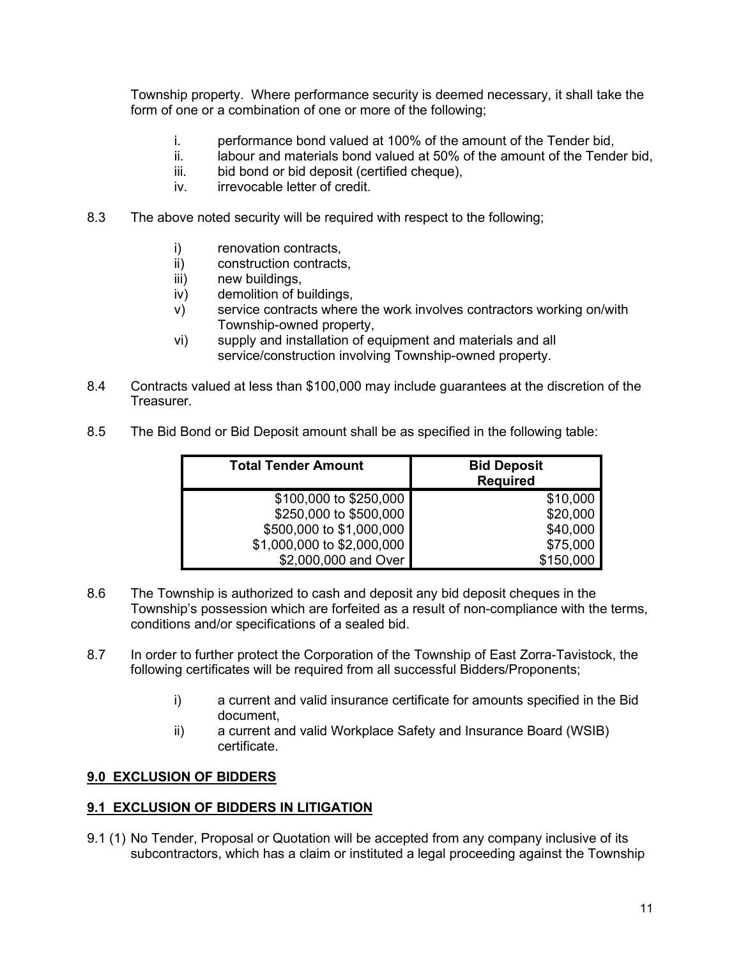Township property. Where performance security is deemed necessary, it shall take the form of one or a combination of one or more of the following;

- i. performance bond valued at 100% of the amount of the Tender bid,
- ii. labour and materials bond valued at 50% of the amount of the Tender bid,
- iii. bid bond or bid deposit (certified cheque),
- iv. irrevocable letter of credit.
- 8.3 The above noted security will be required with respect to the following;
	- i) renovation contracts.
	- ii) construction contracts,
	- iii) new buildings,
	- iv) demolition of buildings,
	- v) service contracts where the work involves contractors working on/with Township-owned property,
	- vi) supply and installation of equipment and materials and all service/construction involving Township-owned property.
- 8.4 Contracts valued at less than \$100,000 may include guarantees at the discretion of the Treasurer.
- 8.5 The Bid Bond or Bid Deposit amount shall be as specified in the following table:

| <b>Total Tender Amount</b> | <b>Bid Deposit</b><br><b>Required</b> |
|----------------------------|---------------------------------------|
| \$100,000 to \$250,000     | \$10,000                              |
| \$250,000 to \$500,000     | \$20,000                              |
| \$500,000 to \$1,000,000   | \$40,000                              |
| \$1,000,000 to \$2,000,000 | \$75,000                              |
| \$2,000,000 and Over       | \$150,000                             |

- 8.6 The Township is authorized to cash and deposit any bid deposit cheques in the Township's possession which are forfeited as a result of non-compliance with the terms, conditions and/or specifications of a sealed bid.
- 8.7 In order to further protect the Corporation of the Township of East Zorra-Tavistock, the following certificates will be required from all successful Bidders/Proponents;
	- i) a current and valid insurance certificate for amounts specified in the Bid document,
	- ii) a current and valid Workplace Safety and Insurance Board (WSIB) certificate.

#### **9.0 EXCLUSION OF BIDDERS**

#### **9.1 EXCLUSION OF BIDDERS IN LITIGATION**

9.1 (1) No Tender, Proposal or Quotation will be accepted from any company inclusive of its subcontractors, which has a claim or instituted a legal proceeding against the Township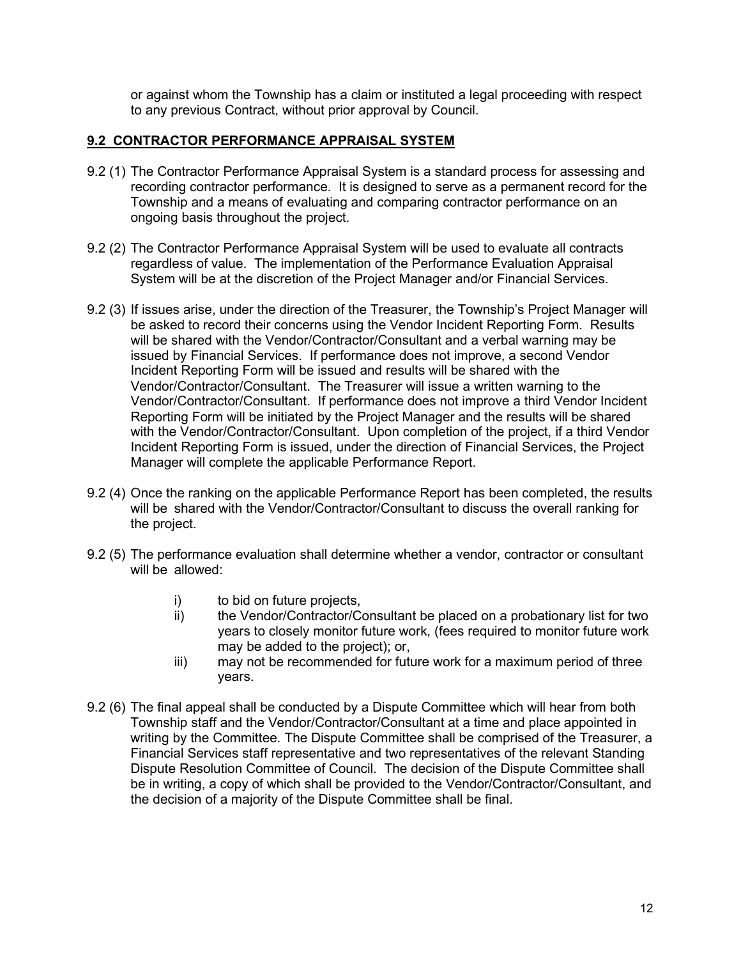or against whom the Township has a claim or instituted a legal proceeding with respect to any previous Contract, without prior approval by Council.

#### **9.2 CONTRACTOR PERFORMANCE APPRAISAL SYSTEM**

- 9.2 (1) The Contractor Performance Appraisal System is a standard process for assessing and recording contractor performance. It is designed to serve as a permanent record for the Township and a means of evaluating and comparing contractor performance on an ongoing basis throughout the project.
- 9.2 (2) The Contractor Performance Appraisal System will be used to evaluate all contracts regardless of value. The implementation of the Performance Evaluation Appraisal System will be at the discretion of the Project Manager and/or Financial Services.
- 9.2 (3) If issues arise, under the direction of the Treasurer, the Township's Project Manager will be asked to record their concerns using the Vendor Incident Reporting Form. Results will be shared with the Vendor/Contractor/Consultant and a verbal warning may be issued by Financial Services. If performance does not improve, a second Vendor Incident Reporting Form will be issued and results will be shared with the Vendor/Contractor/Consultant. The Treasurer will issue a written warning to the Vendor/Contractor/Consultant. If performance does not improve a third Vendor Incident Reporting Form will be initiated by the Project Manager and the results will be shared with the Vendor/Contractor/Consultant. Upon completion of the project, if a third Vendor Incident Reporting Form is issued, under the direction of Financial Services, the Project Manager will complete the applicable Performance Report.
- 9.2 (4) Once the ranking on the applicable Performance Report has been completed, the results will be shared with the Vendor/Contractor/Consultant to discuss the overall ranking for the project.
- 9.2 (5) The performance evaluation shall determine whether a vendor, contractor or consultant will be allowed:
	- i) to bid on future projects,
	- ii) the Vendor/Contractor/Consultant be placed on a probationary list for two years to closely monitor future work, (fees required to monitor future work may be added to the project); or,
	- iii) may not be recommended for future work for a maximum period of three years.
- 9.2 (6) The final appeal shall be conducted by a Dispute Committee which will hear from both Township staff and the Vendor/Contractor/Consultant at a time and place appointed in writing by the Committee. The Dispute Committee shall be comprised of the Treasurer, a Financial Services staff representative and two representatives of the relevant Standing Dispute Resolution Committee of Council. The decision of the Dispute Committee shall be in writing, a copy of which shall be provided to the Vendor/Contractor/Consultant, and the decision of a majority of the Dispute Committee shall be final.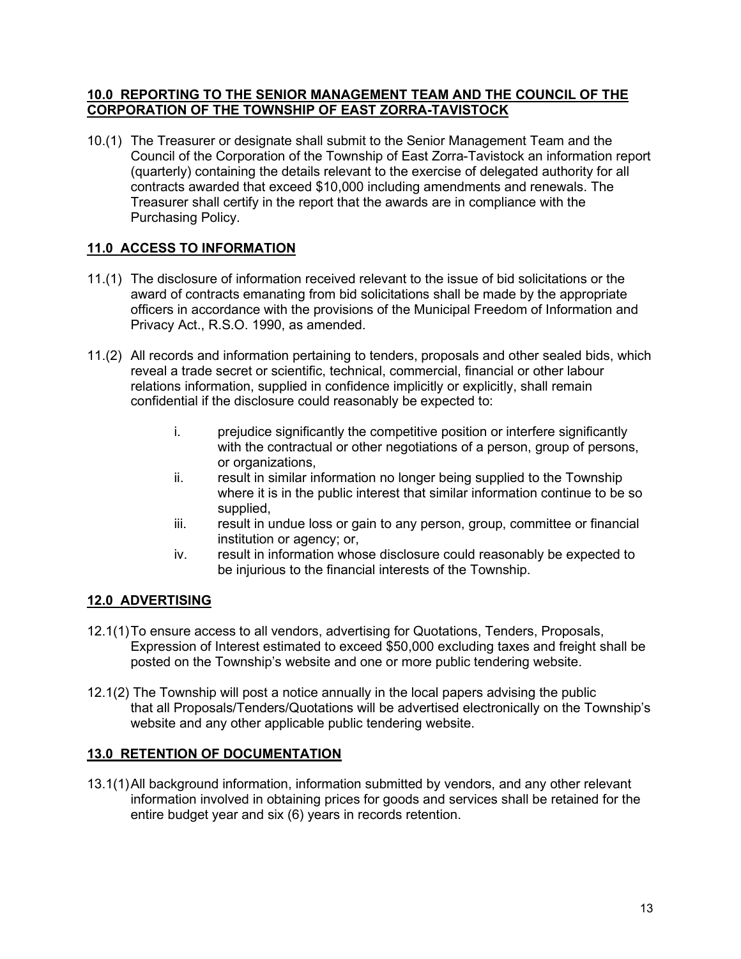#### **10.0 REPORTING TO THE SENIOR MANAGEMENT TEAM AND THE COUNCIL OF THE CORPORATION OF THE TOWNSHIP OF EAST ZORRA-TAVISTOCK**

10.(1) The Treasurer or designate shall submit to the Senior Management Team and the Council of the Corporation of the Township of East Zorra-Tavistock an information report (quarterly) containing the details relevant to the exercise of delegated authority for all contracts awarded that exceed \$10,000 including amendments and renewals. The Treasurer shall certify in the report that the awards are in compliance with the Purchasing Policy.

# **11.0 ACCESS TO INFORMATION**

- 11.(1) The disclosure of information received relevant to the issue of bid solicitations or the award of contracts emanating from bid solicitations shall be made by the appropriate officers in accordance with the provisions of the Municipal Freedom of Information and Privacy Act., R.S.O. 1990, as amended.
- 11.(2) All records and information pertaining to tenders, proposals and other sealed bids, which reveal a trade secret or scientific, technical, commercial, financial or other labour relations information, supplied in confidence implicitly or explicitly, shall remain confidential if the disclosure could reasonably be expected to:
	- i. prejudice significantly the competitive position or interfere significantly with the contractual or other negotiations of a person, group of persons, or organizations,
	- ii. result in similar information no longer being supplied to the Township where it is in the public interest that similar information continue to be so supplied,
	- iii. result in undue loss or gain to any person, group, committee or financial institution or agency; or,
	- iv. result in information whose disclosure could reasonably be expected to be injurious to the financial interests of the Township.

# **12.0 ADVERTISING**

- 12.1(1)To ensure access to all vendors, advertising for Quotations, Tenders, Proposals, Expression of Interest estimated to exceed \$50,000 excluding taxes and freight shall be posted on the Township's website and one or more public tendering website.
- 12.1(2) The Township will post a notice annually in the local papers advising the public that all Proposals/Tenders/Quotations will be advertised electronically on the Township's website and any other applicable public tendering website.

# **13.0 RETENTION OF DOCUMENTATION**

13.1(1)All background information, information submitted by vendors, and any other relevant information involved in obtaining prices for goods and services shall be retained for the entire budget year and six (6) years in records retention.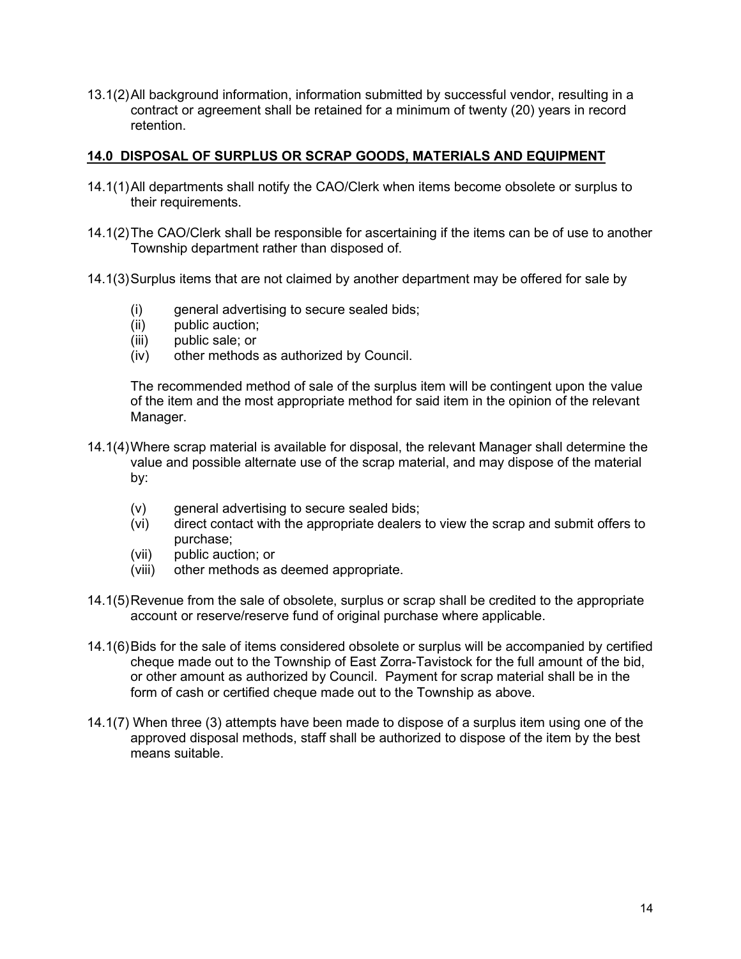13.1(2)All background information, information submitted by successful vendor, resulting in a contract or agreement shall be retained for a minimum of twenty (20) years in record retention.

#### **14.0 DISPOSAL OF SURPLUS OR SCRAP GOODS, MATERIALS AND EQUIPMENT**

- 14.1(1)All departments shall notify the CAO/Clerk when items become obsolete or surplus to their requirements.
- 14.1(2)The CAO/Clerk shall be responsible for ascertaining if the items can be of use to another Township department rather than disposed of.
- 14.1(3)Surplus items that are not claimed by another department may be offered for sale by
	- (i) general advertising to secure sealed bids;
	- (ii) public auction;
	- (iii) public sale; or
	- (iv) other methods as authorized by Council.

The recommended method of sale of the surplus item will be contingent upon the value of the item and the most appropriate method for said item in the opinion of the relevant Manager.

- 14.1(4)Where scrap material is available for disposal, the relevant Manager shall determine the value and possible alternate use of the scrap material, and may dispose of the material by:
	- (v) general advertising to secure sealed bids;
	- (vi) direct contact with the appropriate dealers to view the scrap and submit offers to purchase;
	- (vii) public auction; or
	- (viii) other methods as deemed appropriate.
- 14.1(5)Revenue from the sale of obsolete, surplus or scrap shall be credited to the appropriate account or reserve/reserve fund of original purchase where applicable.
- 14.1(6)Bids for the sale of items considered obsolete or surplus will be accompanied by certified cheque made out to the Township of East Zorra-Tavistock for the full amount of the bid, or other amount as authorized by Council. Payment for scrap material shall be in the form of cash or certified cheque made out to the Township as above.
- 14.1(7) When three (3) attempts have been made to dispose of a surplus item using one of the approved disposal methods, staff shall be authorized to dispose of the item by the best means suitable.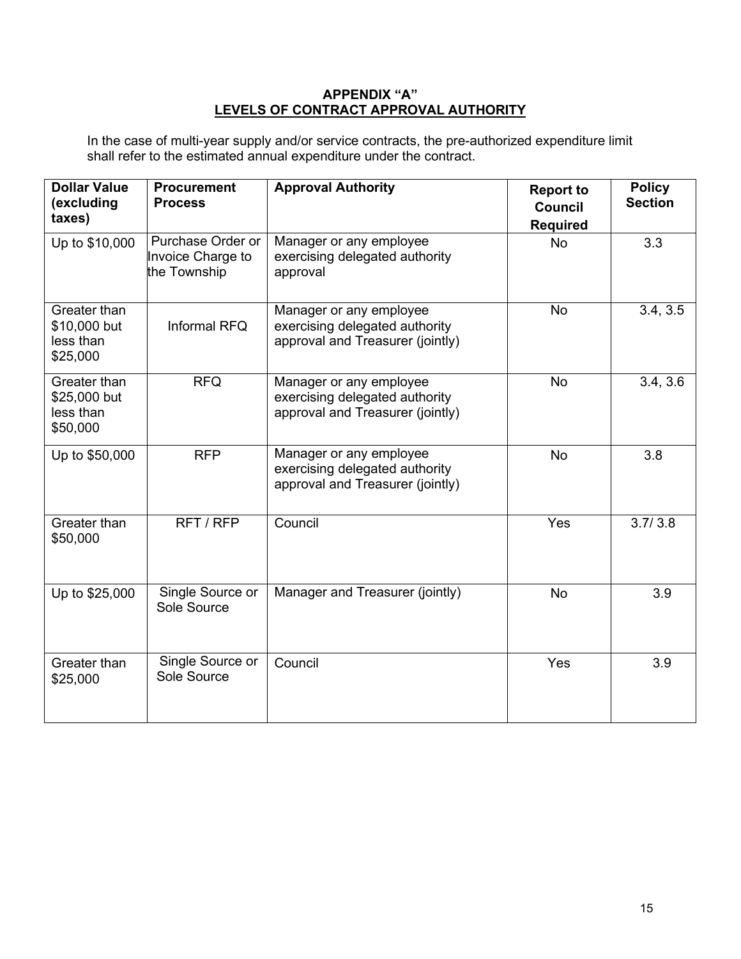#### **APPENDIX "A" LEVELS OF CONTRACT APPROVAL AUTHORITY**

In the case of multi-year supply and/or service contracts, the pre-authorized expenditure limit shall refer to the estimated annual expenditure under the contract.

| <b>Dollar Value</b><br>(excluding<br>taxes)           | <b>Procurement</b><br><b>Process</b>                   | <b>Approval Authority</b>                                                                     | <b>Report to</b><br><b>Council</b><br><b>Required</b> | <b>Policy</b><br><b>Section</b> |
|-------------------------------------------------------|--------------------------------------------------------|-----------------------------------------------------------------------------------------------|-------------------------------------------------------|---------------------------------|
| Up to \$10,000                                        | Purchase Order or<br>Invoice Charge to<br>the Township | Manager or any employee<br>exercising delegated authority<br>approval                         | <b>No</b>                                             | 3.3                             |
| Greater than<br>\$10,000 but<br>less than<br>\$25,000 | Informal RFQ                                           | Manager or any employee<br>exercising delegated authority<br>approval and Treasurer (jointly) | <b>No</b>                                             | 3.4, 3.5                        |
| Greater than<br>\$25,000 but<br>less than<br>\$50,000 | <b>RFQ</b>                                             | Manager or any employee<br>exercising delegated authority<br>approval and Treasurer (jointly) | <b>No</b>                                             | 3.4, 3.6                        |
| Up to \$50,000                                        | <b>RFP</b>                                             | Manager or any employee<br>exercising delegated authority<br>approval and Treasurer (jointly) | No                                                    | 3.8                             |
| Greater than<br>\$50,000                              | RFT / RFP                                              | Council                                                                                       | Yes                                                   | 3.7/3.8                         |
| Up to \$25,000                                        | Single Source or<br>Sole Source                        | Manager and Treasurer (jointly)                                                               | <b>No</b>                                             | 3.9                             |
| Greater than<br>\$25,000                              | Single Source or<br>Sole Source                        | Council                                                                                       | Yes                                                   | 3.9                             |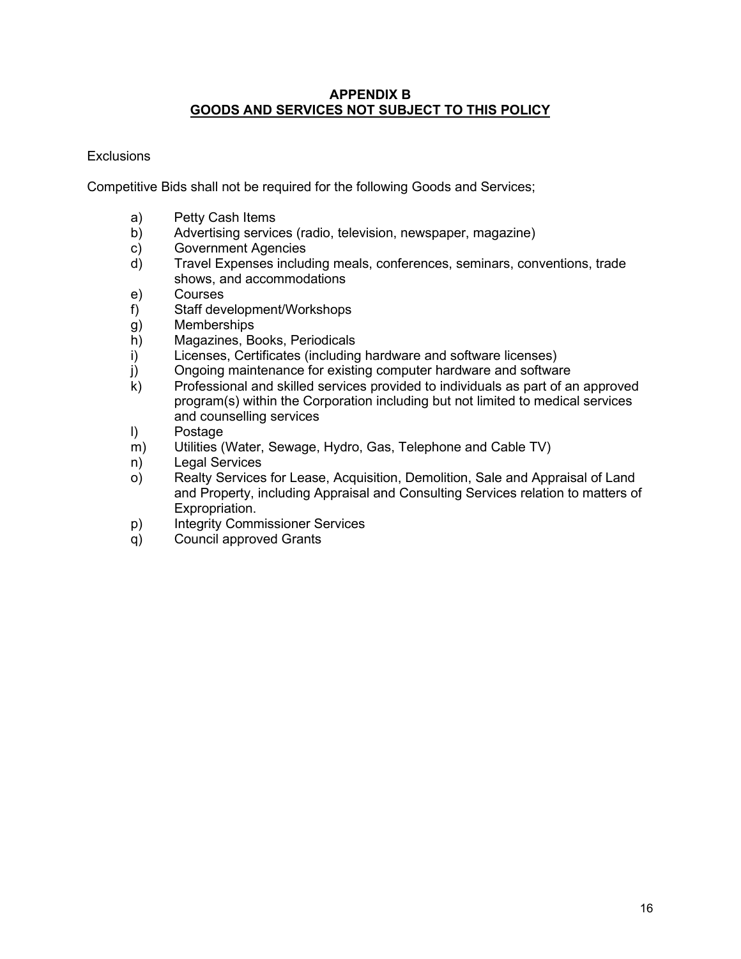#### **APPENDIX B GOODS AND SERVICES NOT SUBJECT TO THIS POLICY**

### Exclusions

Competitive Bids shall not be required for the following Goods and Services;

- a) Petty Cash Items
- b) Advertising services (radio, television, newspaper, magazine)<br>c) Government Agencies
- Government Agencies
- d) Travel Expenses including meals, conferences, seminars, conventions, trade shows, and accommodations
- e) Courses
- f) Staff development/Workshops
- g) Memberships
- h) Magazines, Books, Periodicals<br>i) Licenses, Certificates (including
- Licenses, Certificates (including hardware and software licenses)
- j) Ongoing maintenance for existing computer hardware and software
- k) Professional and skilled services provided to individuals as part of an approved program(s) within the Corporation including but not limited to medical services and counselling services
- l) Postage
- m) Utilities (Water, Sewage, Hydro, Gas, Telephone and Cable TV)
- n) Legal Services
- o) Realty Services for Lease, Acquisition, Demolition, Sale and Appraisal of Land and Property, including Appraisal and Consulting Services relation to matters of Expropriation.
- p) Integrity Commissioner Services
- q) Council approved Grants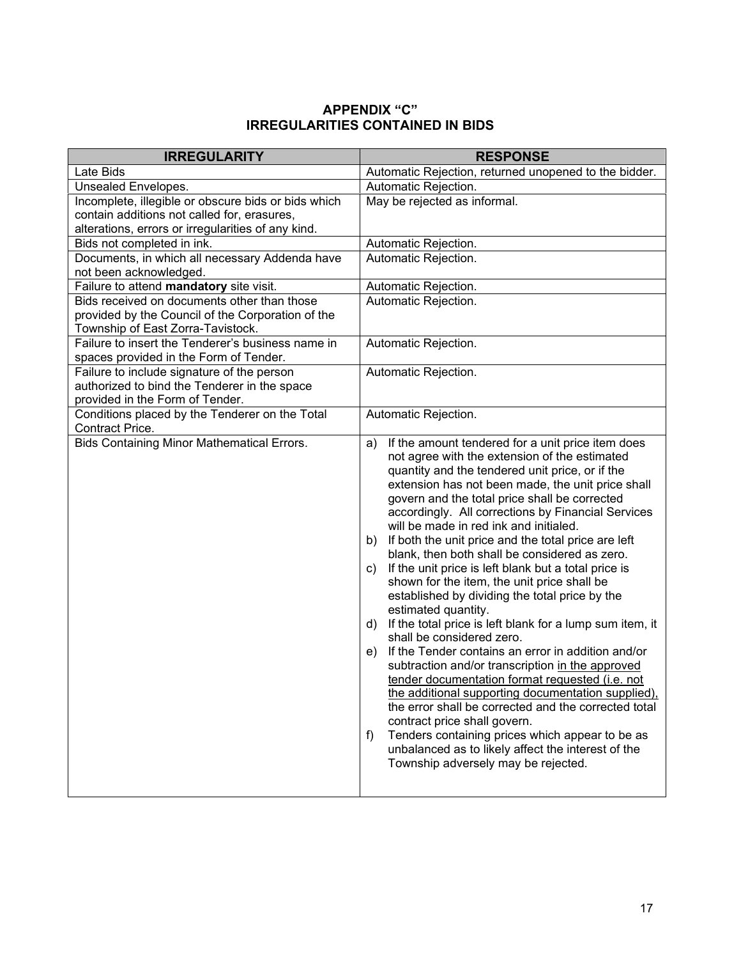# **APPENDIX "C" IRREGULARITIES CONTAINED IN BIDS**

| <b>IRREGULARITY</b>                                                                    | <b>RESPONSE</b>                                                                                              |
|----------------------------------------------------------------------------------------|--------------------------------------------------------------------------------------------------------------|
| Late Bids                                                                              | Automatic Rejection, returned unopened to the bidder.                                                        |
| Unsealed Envelopes.                                                                    | Automatic Rejection.                                                                                         |
| Incomplete, illegible or obscure bids or bids which                                    | May be rejected as informal.                                                                                 |
| contain additions not called for, erasures,                                            |                                                                                                              |
| alterations, errors or irregularities of any kind.                                     |                                                                                                              |
| Bids not completed in ink.                                                             | Automatic Rejection.                                                                                         |
| Documents, in which all necessary Addenda have                                         | Automatic Rejection.                                                                                         |
| not been acknowledged.                                                                 |                                                                                                              |
| Failure to attend mandatory site visit.                                                | Automatic Rejection.                                                                                         |
| Bids received on documents other than those                                            | Automatic Rejection.                                                                                         |
| provided by the Council of the Corporation of the<br>Township of East Zorra-Tavistock. |                                                                                                              |
| Failure to insert the Tenderer's business name in                                      | Automatic Rejection.                                                                                         |
| spaces provided in the Form of Tender.                                                 |                                                                                                              |
| Failure to include signature of the person                                             | Automatic Rejection.                                                                                         |
| authorized to bind the Tenderer in the space                                           |                                                                                                              |
| provided in the Form of Tender.                                                        |                                                                                                              |
| Conditions placed by the Tenderer on the Total                                         | Automatic Rejection.                                                                                         |
| Contract Price.                                                                        |                                                                                                              |
| <b>Bids Containing Minor Mathematical Errors.</b>                                      | If the amount tendered for a unit price item does<br>a)                                                      |
|                                                                                        | not agree with the extension of the estimated                                                                |
|                                                                                        | quantity and the tendered unit price, or if the                                                              |
|                                                                                        | extension has not been made, the unit price shall<br>govern and the total price shall be corrected           |
|                                                                                        | accordingly. All corrections by Financial Services                                                           |
|                                                                                        | will be made in red ink and initialed.                                                                       |
|                                                                                        | If both the unit price and the total price are left<br>b)                                                    |
|                                                                                        | blank, then both shall be considered as zero.                                                                |
|                                                                                        | If the unit price is left blank but a total price is<br>C)                                                   |
|                                                                                        | shown for the item, the unit price shall be                                                                  |
|                                                                                        | established by dividing the total price by the                                                               |
|                                                                                        | estimated quantity.                                                                                          |
|                                                                                        | If the total price is left blank for a lump sum item, it<br>d)                                               |
|                                                                                        | shall be considered zero.                                                                                    |
|                                                                                        | If the Tender contains an error in addition and/or<br>e)<br>subtraction and/or transcription in the approved |
|                                                                                        | tender documentation format requested (i.e. not                                                              |
|                                                                                        | the additional supporting documentation supplied),                                                           |
|                                                                                        | the error shall be corrected and the corrected total                                                         |
|                                                                                        | contract price shall govern.                                                                                 |
|                                                                                        | Tenders containing prices which appear to be as<br>f)                                                        |
|                                                                                        | unbalanced as to likely affect the interest of the                                                           |
|                                                                                        | Township adversely may be rejected.                                                                          |
|                                                                                        |                                                                                                              |
|                                                                                        |                                                                                                              |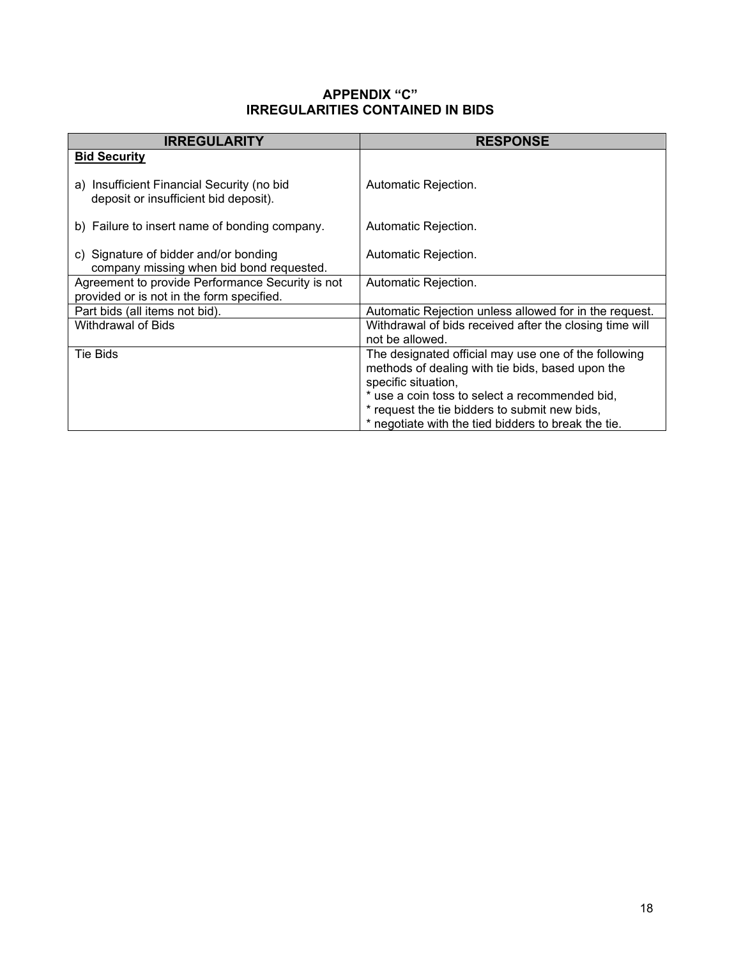### **APPENDIX "C" IRREGULARITIES CONTAINED IN BIDS**

| <b>IRREGULARITY</b>                                                                           | <b>RESPONSE</b>                                         |
|-----------------------------------------------------------------------------------------------|---------------------------------------------------------|
| <b>Bid Security</b>                                                                           |                                                         |
| a) Insufficient Financial Security (no bid<br>deposit or insufficient bid deposit).           | Automatic Rejection.                                    |
| b) Failure to insert name of bonding company.                                                 | Automatic Rejection.                                    |
| c) Signature of bidder and/or bonding<br>company missing when bid bond requested.             | Automatic Rejection.                                    |
| Agreement to provide Performance Security is not<br>provided or is not in the form specified. | Automatic Rejection.                                    |
| Part bids (all items not bid).                                                                | Automatic Rejection unless allowed for in the request.  |
| Withdrawal of Bids                                                                            | Withdrawal of bids received after the closing time will |
|                                                                                               | not be allowed.                                         |
| Tie Bids                                                                                      | The designated official may use one of the following    |
|                                                                                               | methods of dealing with tie bids, based upon the        |
|                                                                                               | specific situation,                                     |
|                                                                                               | * use a coin toss to select a recommended bid,          |
|                                                                                               | * request the tie bidders to submit new bids,           |
|                                                                                               | * negotiate with the tied bidders to break the tie.     |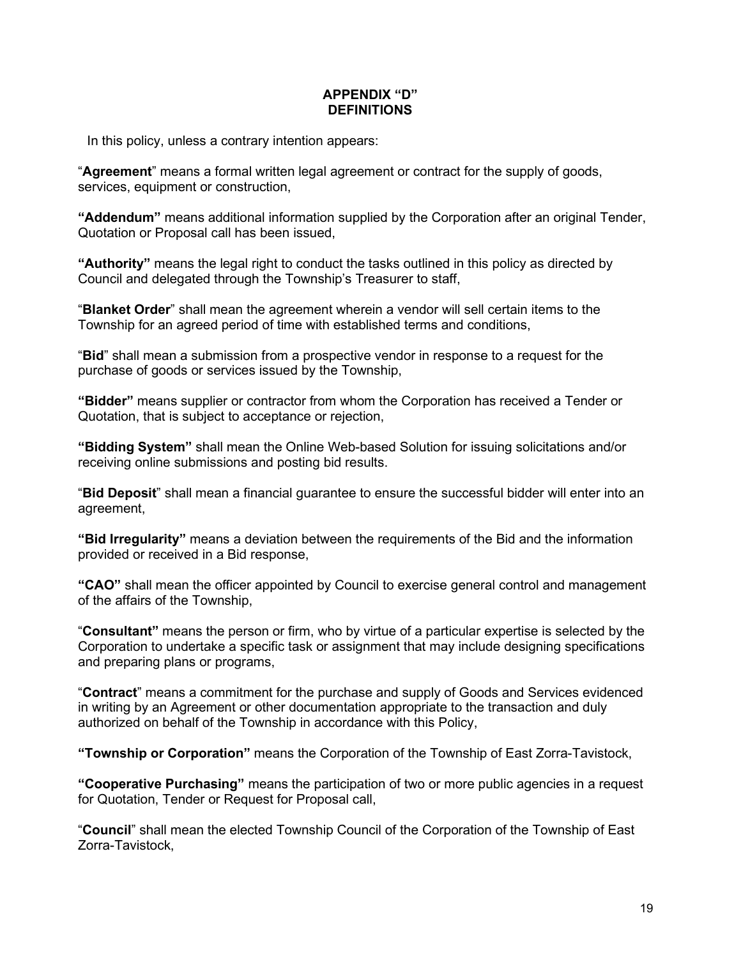### **APPENDIX "D" DEFINITIONS**

In this policy, unless a contrary intention appears:

"**Agreement**" means a formal written legal agreement or contract for the supply of goods, services, equipment or construction,

**"Addendum"** means additional information supplied by the Corporation after an original Tender, Quotation or Proposal call has been issued,

**"Authority"** means the legal right to conduct the tasks outlined in this policy as directed by Council and delegated through the Township's Treasurer to staff,

"**Blanket Order**" shall mean the agreement wherein a vendor will sell certain items to the Township for an agreed period of time with established terms and conditions,

"**Bid**" shall mean a submission from a prospective vendor in response to a request for the purchase of goods or services issued by the Township,

**"Bidder"** means supplier or contractor from whom the Corporation has received a Tender or Quotation, that is subject to acceptance or rejection,

**"Bidding System"** shall mean the Online Web-based Solution for issuing solicitations and/or receiving online submissions and posting bid results.

"**Bid Deposit**" shall mean a financial guarantee to ensure the successful bidder will enter into an agreement,

**"Bid Irregularity"** means a deviation between the requirements of the Bid and the information provided or received in a Bid response,

**"CAO"** shall mean the officer appointed by Council to exercise general control and management of the affairs of the Township,

"**Consultant"** means the person or firm, who by virtue of a particular expertise is selected by the Corporation to undertake a specific task or assignment that may include designing specifications and preparing plans or programs,

"**Contract**" means a commitment for the purchase and supply of Goods and Services evidenced in writing by an Agreement or other documentation appropriate to the transaction and duly authorized on behalf of the Township in accordance with this Policy,

**"Township or Corporation"** means the Corporation of the Township of East Zorra-Tavistock,

**"Cooperative Purchasing"** means the participation of two or more public agencies in a request for Quotation, Tender or Request for Proposal call,

"**Council**" shall mean the elected Township Council of the Corporation of the Township of East Zorra-Tavistock,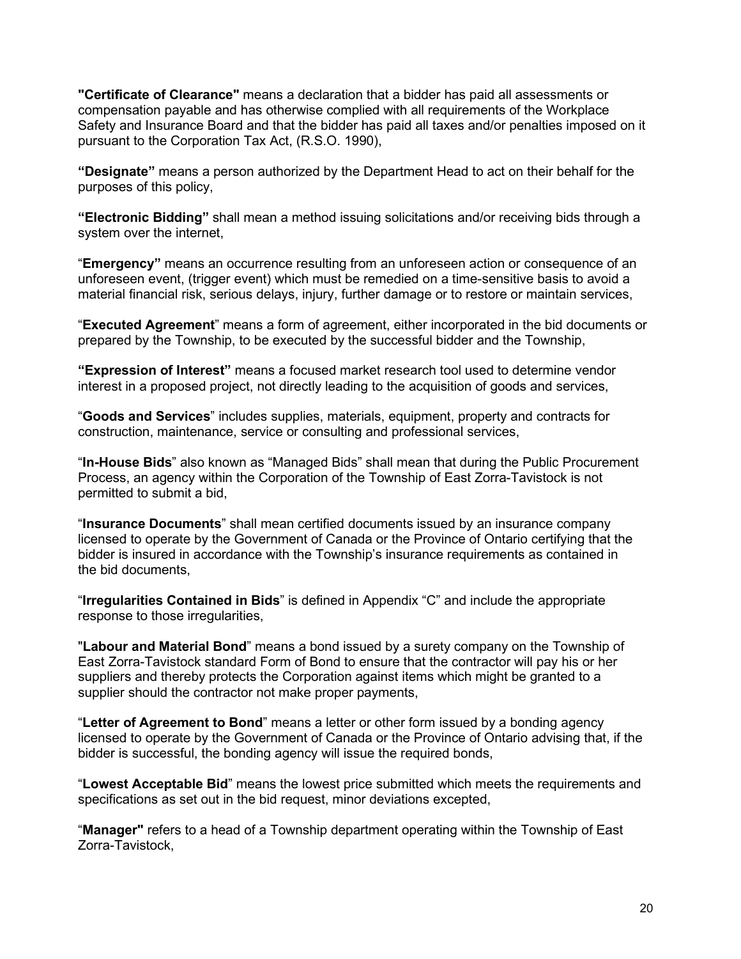**"Certificate of Clearance"** means a declaration that a bidder has paid all assessments or compensation payable and has otherwise complied with all requirements of the Workplace Safety and Insurance Board and that the bidder has paid all taxes and/or penalties imposed on it pursuant to the Corporation Tax Act, (R.S.O. 1990),

**"Designate"** means a person authorized by the Department Head to act on their behalf for the purposes of this policy,

**"Electronic Bidding"** shall mean a method issuing solicitations and/or receiving bids through a system over the internet,

"**Emergency"** means an occurrence resulting from an unforeseen action or consequence of an unforeseen event, (trigger event) which must be remedied on a time-sensitive basis to avoid a material financial risk, serious delays, injury, further damage or to restore or maintain services,

"**Executed Agreement**" means a form of agreement, either incorporated in the bid documents or prepared by the Township, to be executed by the successful bidder and the Township,

**"Expression of Interest"** means a focused market research tool used to determine vendor interest in a proposed project, not directly leading to the acquisition of goods and services,

"**Goods and Services**" includes supplies, materials, equipment, property and contracts for construction, maintenance, service or consulting and professional services,

"**In-House Bids**" also known as "Managed Bids" shall mean that during the Public Procurement Process, an agency within the Corporation of the Township of East Zorra-Tavistock is not permitted to submit a bid,

"**Insurance Documents**" shall mean certified documents issued by an insurance company licensed to operate by the Government of Canada or the Province of Ontario certifying that the bidder is insured in accordance with the Township's insurance requirements as contained in the bid documents,

"**Irregularities Contained in Bids**" is defined in Appendix "C" and include the appropriate response to those irregularities,

"**Labour and Material Bond**" means a bond issued by a surety company on the Township of East Zorra-Tavistock standard Form of Bond to ensure that the contractor will pay his or her suppliers and thereby protects the Corporation against items which might be granted to a supplier should the contractor not make proper payments,

"**Letter of Agreement to Bond**" means a letter or other form issued by a bonding agency licensed to operate by the Government of Canada or the Province of Ontario advising that, if the bidder is successful, the bonding agency will issue the required bonds,

"**Lowest Acceptable Bid**" means the lowest price submitted which meets the requirements and specifications as set out in the bid request, minor deviations excepted,

"**Manager"** refers to a head of a Township department operating within the Township of East Zorra-Tavistock,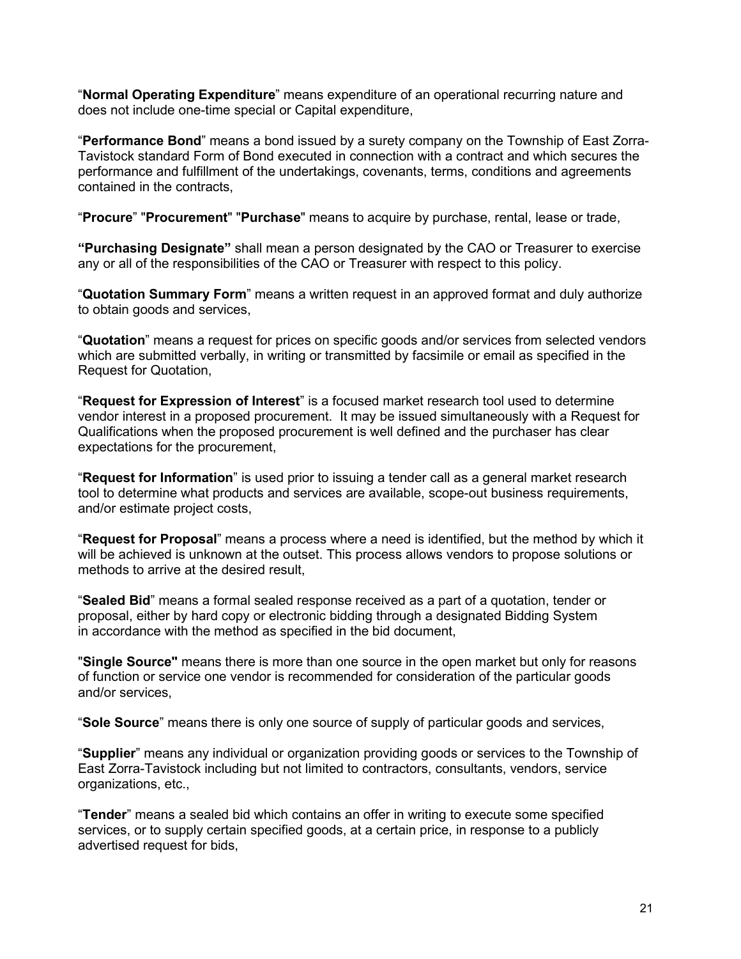"**Normal Operating Expenditure**" means expenditure of an operational recurring nature and does not include one-time special or Capital expenditure,

"**Performance Bond**" means a bond issued by a surety company on the Township of East Zorra-Tavistock standard Form of Bond executed in connection with a contract and which secures the performance and fulfillment of the undertakings, covenants, terms, conditions and agreements contained in the contracts,

"**Procure**" "**Procurement**" "**Purchase**" means to acquire by purchase, rental, lease or trade,

**"Purchasing Designate"** shall mean a person designated by the CAO or Treasurer to exercise any or all of the responsibilities of the CAO or Treasurer with respect to this policy.

"**Quotation Summary Form**" means a written request in an approved format and duly authorize to obtain goods and services,

"**Quotation**" means a request for prices on specific goods and/or services from selected vendors which are submitted verbally, in writing or transmitted by facsimile or email as specified in the Request for Quotation,

"**Request for Expression of Interest**" is a focused market research tool used to determine vendor interest in a proposed procurement. It may be issued simultaneously with a Request for Qualifications when the proposed procurement is well defined and the purchaser has clear expectations for the procurement,

"**Request for Information**" is used prior to issuing a tender call as a general market research tool to determine what products and services are available, scope-out business requirements, and/or estimate project costs,

"**Request for Proposal**" means a process where a need is identified, but the method by which it will be achieved is unknown at the outset. This process allows vendors to propose solutions or methods to arrive at the desired result,

"**Sealed Bid**" means a formal sealed response received as a part of a quotation, tender or proposal, either by hard copy or electronic bidding through a designated Bidding System in accordance with the method as specified in the bid document,

"**Single Source"** means there is more than one source in the open market but only for reasons of function or service one vendor is recommended for consideration of the particular goods and/or services,

"**Sole Source**" means there is only one source of supply of particular goods and services,

"**Supplier**" means any individual or organization providing goods or services to the Township of East Zorra-Tavistock including but not limited to contractors, consultants, vendors, service organizations, etc.,

"**Tender**" means a sealed bid which contains an offer in writing to execute some specified services, or to supply certain specified goods, at a certain price, in response to a publicly advertised request for bids,